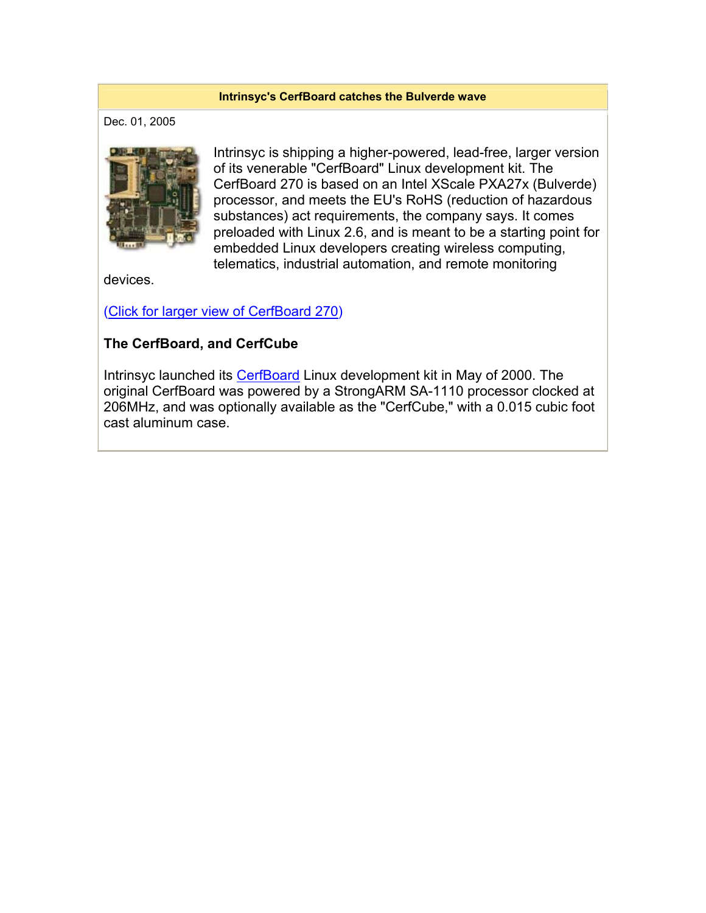#### **Intrinsyc's CerfBoard catches the Bulverde wave**

Dec. 01, 2005



Intrinsyc is shipping a higher-powered, lead-free, larger version of its venerable "CerfBoard" Linux development kit. The CerfBoard 270 is based on an Intel XScale PXA27x (Bulverde) processor, and meets the EU's RoHS (reduction of hazardous substances) act requirements, the company says. It comes preloaded with Linux 2.6, and is meant to be a starting point for embedded Linux developers creating wireless computing, telematics, industrial automation, and remote monitoring

devices.

(Click for larger view of CerfBoard 270)

### **The CerfBoard, and CerfCube**

Intrinsyc launched its CerfBoard Linux development kit in May of 2000. The original CerfBoard was powered by a StrongARM SA-1110 processor clocked at 206MHz, and was optionally available as the "CerfCube," with a 0.015 cubic foot cast aluminum case.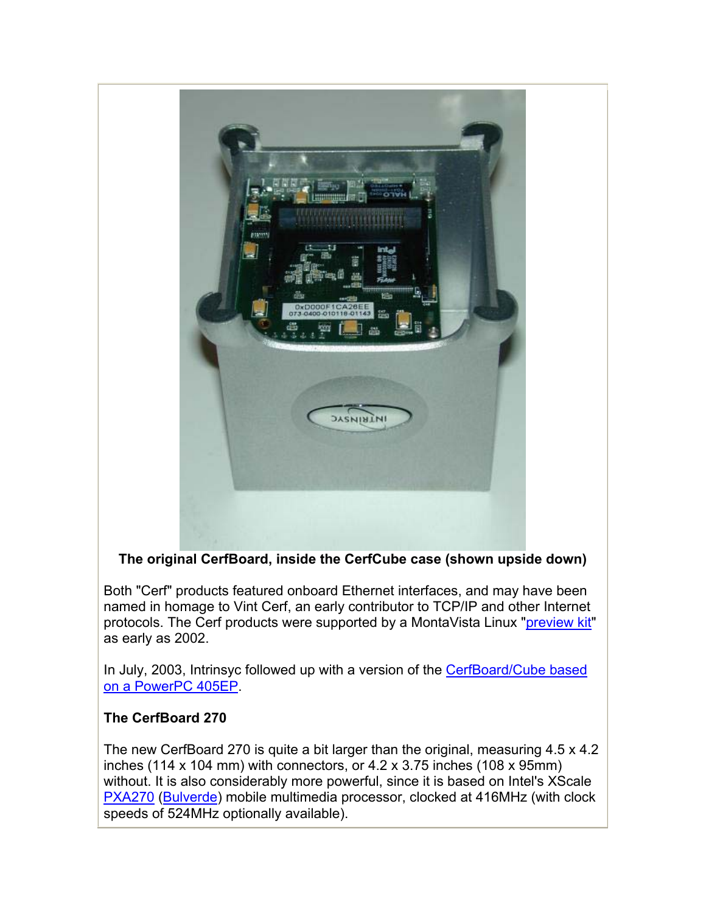

# **The original CerfBoard, inside the CerfCube case (shown upside down)**

Both "Cerf" products featured onboard Ethernet interfaces, and may have been named in homage to Vint Cerf, an early contributor to TCP/IP and other Internet protocols. The Cerf products were supported by a MontaVista Linux "preview kit" as early as 2002.

In July, 2003, Intrinsyc followed up with a version of the CerfBoard/Cube based on a PowerPC 405EP.

# **The CerfBoard 270**

The new CerfBoard 270 is quite a bit larger than the original, measuring 4.5 x 4.2 inches (114 x 104 mm) with connectors, or  $4.2 \times 3.75$  inches (108 x 95mm) without. It is also considerably more powerful, since it is based on Intel's XScale PXA270 (Bulverde) mobile multimedia processor, clocked at 416MHz (with clock speeds of 524MHz optionally available).